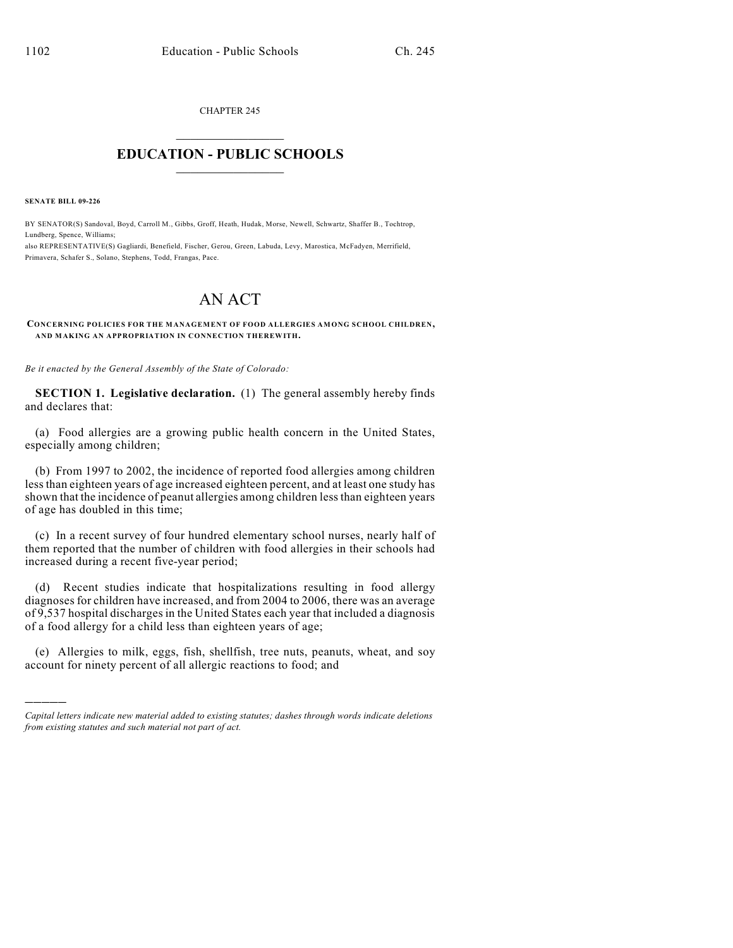CHAPTER 245  $\overline{\phantom{a}}$  . The set of the set of the set of the set of the set of the set of the set of the set of the set of the set of the set of the set of the set of the set of the set of the set of the set of the set of the set o

## **EDUCATION - PUBLIC SCHOOLS**  $\_$   $\_$   $\_$   $\_$   $\_$   $\_$   $\_$   $\_$   $\_$

**SENATE BILL 09-226**

)))))

BY SENATOR(S) Sandoval, Boyd, Carroll M., Gibbs, Groff, Heath, Hudak, Morse, Newell, Schwartz, Shaffer B., Tochtrop, Lundberg, Spence, Williams;

also REPRESENTATIVE(S) Gagliardi, Benefield, Fischer, Gerou, Green, Labuda, Levy, Marostica, McFadyen, Merrifield, Primavera, Schafer S., Solano, Stephens, Todd, Frangas, Pace.

## AN ACT

**CONCERNING POLICIES FOR THE MANAGEMENT OF FOOD ALLERGIES AMONG SCHOOL CHILDREN, AND MAKING AN APPROPRIATION IN CONNECTION THEREWITH.**

*Be it enacted by the General Assembly of the State of Colorado:*

**SECTION 1. Legislative declaration.** (1) The general assembly hereby finds and declares that:

(a) Food allergies are a growing public health concern in the United States, especially among children;

(b) From 1997 to 2002, the incidence of reported food allergies among children less than eighteen years of age increased eighteen percent, and at least one study has shown that the incidence of peanut allergies among children less than eighteen years of age has doubled in this time;

(c) In a recent survey of four hundred elementary school nurses, nearly half of them reported that the number of children with food allergies in their schools had increased during a recent five-year period;

(d) Recent studies indicate that hospitalizations resulting in food allergy diagnoses for children have increased, and from 2004 to 2006, there was an average of 9,537 hospital discharges in the United States each year that included a diagnosis of a food allergy for a child less than eighteen years of age;

(e) Allergies to milk, eggs, fish, shellfish, tree nuts, peanuts, wheat, and soy account for ninety percent of all allergic reactions to food; and

*Capital letters indicate new material added to existing statutes; dashes through words indicate deletions from existing statutes and such material not part of act.*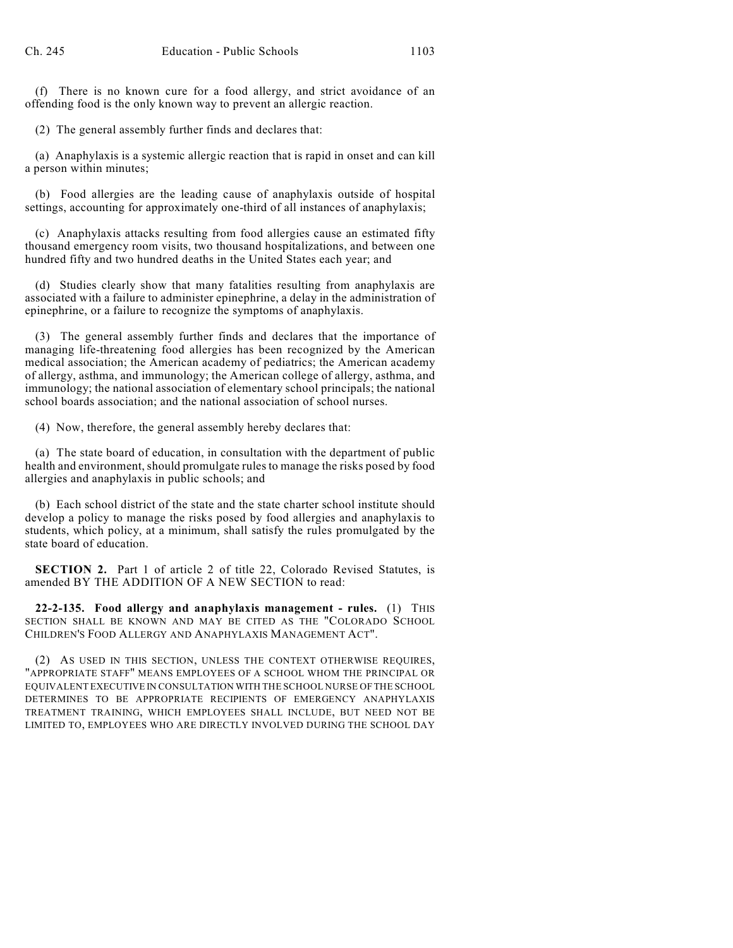(f) There is no known cure for a food allergy, and strict avoidance of an offending food is the only known way to prevent an allergic reaction.

(2) The general assembly further finds and declares that:

(a) Anaphylaxis is a systemic allergic reaction that is rapid in onset and can kill a person within minutes;

(b) Food allergies are the leading cause of anaphylaxis outside of hospital settings, accounting for approximately one-third of all instances of anaphylaxis;

(c) Anaphylaxis attacks resulting from food allergies cause an estimated fifty thousand emergency room visits, two thousand hospitalizations, and between one hundred fifty and two hundred deaths in the United States each year; and

(d) Studies clearly show that many fatalities resulting from anaphylaxis are associated with a failure to administer epinephrine, a delay in the administration of epinephrine, or a failure to recognize the symptoms of anaphylaxis.

(3) The general assembly further finds and declares that the importance of managing life-threatening food allergies has been recognized by the American medical association; the American academy of pediatrics; the American academy of allergy, asthma, and immunology; the American college of allergy, asthma, and immunology; the national association of elementary school principals; the national school boards association; and the national association of school nurses.

(4) Now, therefore, the general assembly hereby declares that:

(a) The state board of education, in consultation with the department of public health and environment, should promulgate rules to manage the risks posed by food allergies and anaphylaxis in public schools; and

(b) Each school district of the state and the state charter school institute should develop a policy to manage the risks posed by food allergies and anaphylaxis to students, which policy, at a minimum, shall satisfy the rules promulgated by the state board of education.

**SECTION 2.** Part 1 of article 2 of title 22, Colorado Revised Statutes, is amended BY THE ADDITION OF A NEW SECTION to read:

**22-2-135. Food allergy and anaphylaxis management - rules.** (1) THIS SECTION SHALL BE KNOWN AND MAY BE CITED AS THE "COLORADO SCHOOL CHILDREN'S FOOD ALLERGY AND ANAPHYLAXIS MANAGEMENT ACT".

(2) AS USED IN THIS SECTION, UNLESS THE CONTEXT OTHERWISE REQUIRES, "APPROPRIATE STAFF" MEANS EMPLOYEES OF A SCHOOL WHOM THE PRINCIPAL OR EQUIVALENT EXECUTIVE IN CONSULTATION WITH THE SCHOOL NURSE OF THE SCHOOL DETERMINES TO BE APPROPRIATE RECIPIENTS OF EMERGENCY ANAPHYLAXIS TREATMENT TRAINING, WHICH EMPLOYEES SHALL INCLUDE, BUT NEED NOT BE LIMITED TO, EMPLOYEES WHO ARE DIRECTLY INVOLVED DURING THE SCHOOL DAY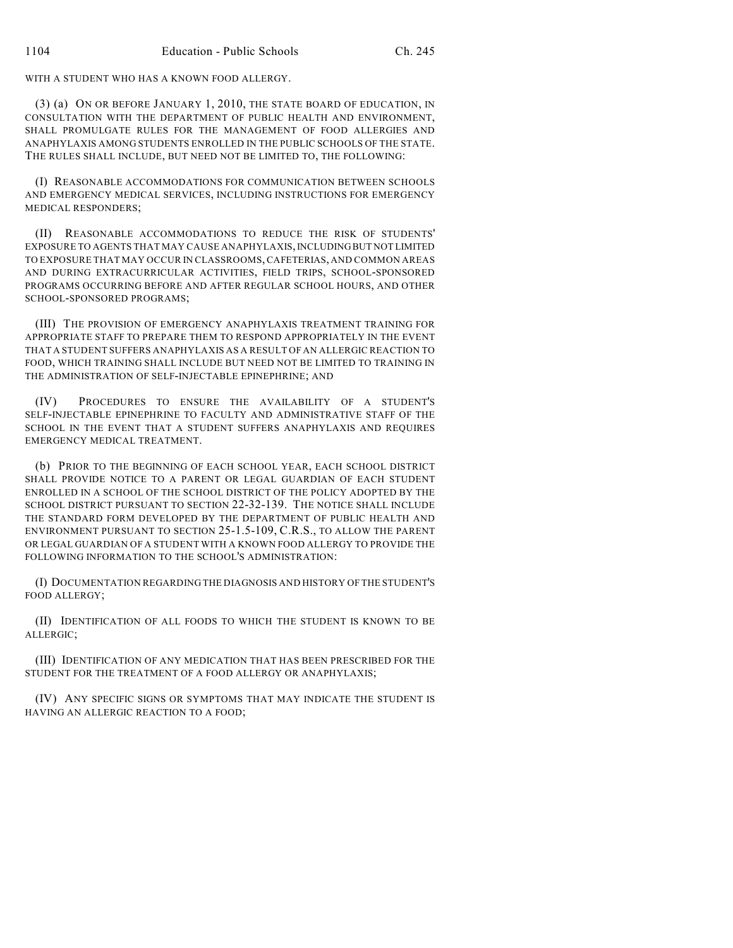WITH A STUDENT WHO HAS A KNOWN FOOD ALLERGY.

(3) (a) ON OR BEFORE JANUARY 1, 2010, THE STATE BOARD OF EDUCATION, IN CONSULTATION WITH THE DEPARTMENT OF PUBLIC HEALTH AND ENVIRONMENT, SHALL PROMULGATE RULES FOR THE MANAGEMENT OF FOOD ALLERGIES AND ANAPHYLAXIS AMONG STUDENTS ENROLLED IN THE PUBLIC SCHOOLS OF THE STATE. THE RULES SHALL INCLUDE, BUT NEED NOT BE LIMITED TO, THE FOLLOWING:

(I) REASONABLE ACCOMMODATIONS FOR COMMUNICATION BETWEEN SCHOOLS AND EMERGENCY MEDICAL SERVICES, INCLUDING INSTRUCTIONS FOR EMERGENCY MEDICAL RESPONDERS;

(II) REASONABLE ACCOMMODATIONS TO REDUCE THE RISK OF STUDENTS' EXPOSURE TO AGENTS THAT MAY CAUSE ANAPHYLAXIS, INCLUDING BUT NOT LIMITED TO EXPOSURE THAT MAY OCCUR IN CLASSROOMS, CAFETERIAS, AND COMMON AREAS AND DURING EXTRACURRICULAR ACTIVITIES, FIELD TRIPS, SCHOOL-SPONSORED PROGRAMS OCCURRING BEFORE AND AFTER REGULAR SCHOOL HOURS, AND OTHER SCHOOL-SPONSORED PROGRAMS;

(III) THE PROVISION OF EMERGENCY ANAPHYLAXIS TREATMENT TRAINING FOR APPROPRIATE STAFF TO PREPARE THEM TO RESPOND APPROPRIATELY IN THE EVENT THAT A STUDENT SUFFERS ANAPHYLAXIS AS A RESULT OF AN ALLERGIC REACTION TO FOOD, WHICH TRAINING SHALL INCLUDE BUT NEED NOT BE LIMITED TO TRAINING IN THE ADMINISTRATION OF SELF-INJECTABLE EPINEPHRINE; AND

(IV) PROCEDURES TO ENSURE THE AVAILABILITY OF A STUDENT'S SELF-INJECTABLE EPINEPHRINE TO FACULTY AND ADMINISTRATIVE STAFF OF THE SCHOOL IN THE EVENT THAT A STUDENT SUFFERS ANAPHYLAXIS AND REQUIRES EMERGENCY MEDICAL TREATMENT.

(b) PRIOR TO THE BEGINNING OF EACH SCHOOL YEAR, EACH SCHOOL DISTRICT SHALL PROVIDE NOTICE TO A PARENT OR LEGAL GUARDIAN OF EACH STUDENT ENROLLED IN A SCHOOL OF THE SCHOOL DISTRICT OF THE POLICY ADOPTED BY THE SCHOOL DISTRICT PURSUANT TO SECTION 22-32-139. THE NOTICE SHALL INCLUDE THE STANDARD FORM DEVELOPED BY THE DEPARTMENT OF PUBLIC HEALTH AND ENVIRONMENT PURSUANT TO SECTION 25-1.5-109, C.R.S., TO ALLOW THE PARENT OR LEGAL GUARDIAN OF A STUDENT WITH A KNOWN FOOD ALLERGY TO PROVIDE THE FOLLOWING INFORMATION TO THE SCHOOL'S ADMINISTRATION:

(I) DOCUMENTATION REGARDING THE DIAGNOSIS AND HISTORY OF THE STUDENT'S FOOD ALLERGY;

(II) IDENTIFICATION OF ALL FOODS TO WHICH THE STUDENT IS KNOWN TO BE ALLERGIC;

(III) IDENTIFICATION OF ANY MEDICATION THAT HAS BEEN PRESCRIBED FOR THE STUDENT FOR THE TREATMENT OF A FOOD ALLERGY OR ANAPHYLAXIS;

(IV) ANY SPECIFIC SIGNS OR SYMPTOMS THAT MAY INDICATE THE STUDENT IS HAVING AN ALLERGIC REACTION TO A FOOD;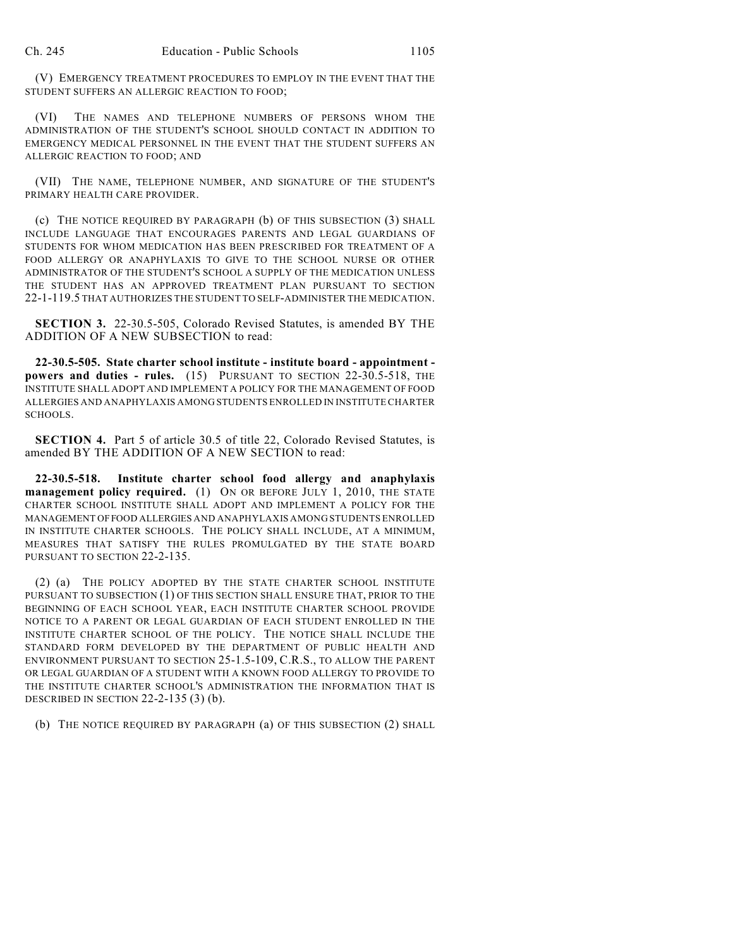(V) EMERGENCY TREATMENT PROCEDURES TO EMPLOY IN THE EVENT THAT THE STUDENT SUFFERS AN ALLERGIC REACTION TO FOOD;

(VI) THE NAMES AND TELEPHONE NUMBERS OF PERSONS WHOM THE ADMINISTRATION OF THE STUDENT'S SCHOOL SHOULD CONTACT IN ADDITION TO EMERGENCY MEDICAL PERSONNEL IN THE EVENT THAT THE STUDENT SUFFERS AN ALLERGIC REACTION TO FOOD; AND

(VII) THE NAME, TELEPHONE NUMBER, AND SIGNATURE OF THE STUDENT'S PRIMARY HEALTH CARE PROVIDER.

(c) THE NOTICE REQUIRED BY PARAGRAPH (b) OF THIS SUBSECTION (3) SHALL INCLUDE LANGUAGE THAT ENCOURAGES PARENTS AND LEGAL GUARDIANS OF STUDENTS FOR WHOM MEDICATION HAS BEEN PRESCRIBED FOR TREATMENT OF A FOOD ALLERGY OR ANAPHYLAXIS TO GIVE TO THE SCHOOL NURSE OR OTHER ADMINISTRATOR OF THE STUDENT'S SCHOOL A SUPPLY OF THE MEDICATION UNLESS THE STUDENT HAS AN APPROVED TREATMENT PLAN PURSUANT TO SECTION 22-1-119.5 THAT AUTHORIZES THE STUDENT TO SELF-ADMINISTER THE MEDICATION.

**SECTION 3.** 22-30.5-505, Colorado Revised Statutes, is amended BY THE ADDITION OF A NEW SUBSECTION to read:

**22-30.5-505. State charter school institute - institute board - appointment powers and duties - rules.** (15) PURSUANT TO SECTION 22-30.5-518, THE INSTITUTE SHALL ADOPT AND IMPLEMENT A POLICY FOR THE MANAGEMENT OF FOOD ALLERGIES AND ANAPHYLAXIS AMONG STUDENTS ENROLLED IN INSTITUTE CHARTER SCHOOLS.

**SECTION 4.** Part 5 of article 30.5 of title 22, Colorado Revised Statutes, is amended BY THE ADDITION OF A NEW SECTION to read:

**22-30.5-518. Institute charter school food allergy and anaphylaxis management policy required.** (1) ON OR BEFORE JULY 1, 2010, THE STATE CHARTER SCHOOL INSTITUTE SHALL ADOPT AND IMPLEMENT A POLICY FOR THE MANAGEMENT OF FOOD ALLERGIES AND ANAPHYLAXIS AMONG STUDENTS ENROLLED IN INSTITUTE CHARTER SCHOOLS. THE POLICY SHALL INCLUDE, AT A MINIMUM, MEASURES THAT SATISFY THE RULES PROMULGATED BY THE STATE BOARD PURSUANT TO SECTION 22-2-135.

(2) (a) THE POLICY ADOPTED BY THE STATE CHARTER SCHOOL INSTITUTE PURSUANT TO SUBSECTION (1) OF THIS SECTION SHALL ENSURE THAT, PRIOR TO THE BEGINNING OF EACH SCHOOL YEAR, EACH INSTITUTE CHARTER SCHOOL PROVIDE NOTICE TO A PARENT OR LEGAL GUARDIAN OF EACH STUDENT ENROLLED IN THE INSTITUTE CHARTER SCHOOL OF THE POLICY. THE NOTICE SHALL INCLUDE THE STANDARD FORM DEVELOPED BY THE DEPARTMENT OF PUBLIC HEALTH AND ENVIRONMENT PURSUANT TO SECTION 25-1.5-109, C.R.S., TO ALLOW THE PARENT OR LEGAL GUARDIAN OF A STUDENT WITH A KNOWN FOOD ALLERGY TO PROVIDE TO THE INSTITUTE CHARTER SCHOOL'S ADMINISTRATION THE INFORMATION THAT IS DESCRIBED IN SECTION 22-2-135 (3) (b).

(b) THE NOTICE REQUIRED BY PARAGRAPH (a) OF THIS SUBSECTION (2) SHALL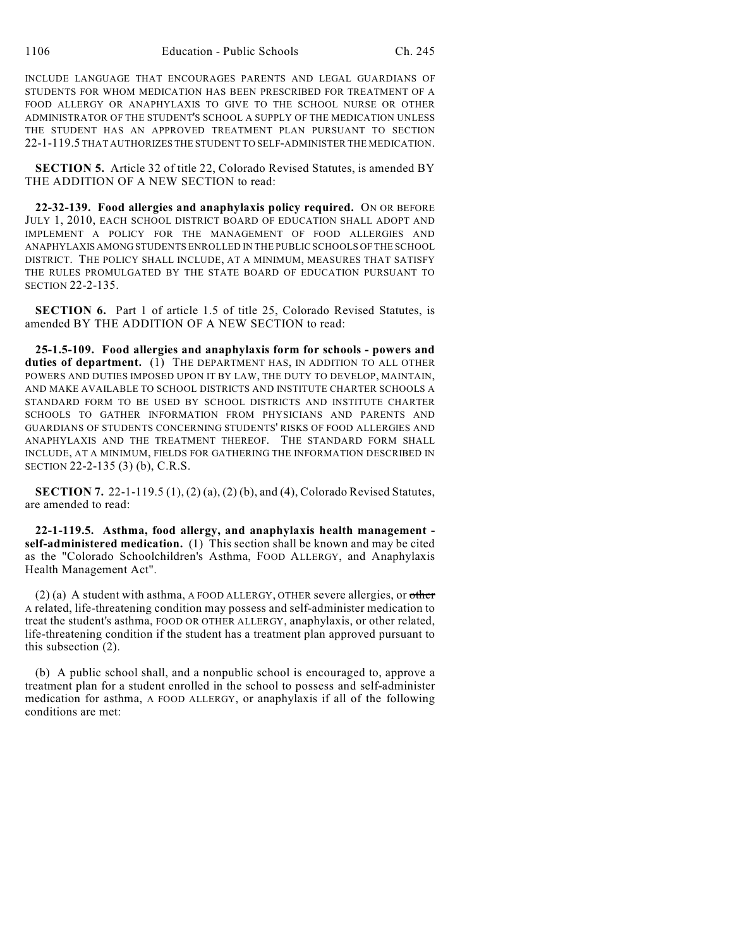INCLUDE LANGUAGE THAT ENCOURAGES PARENTS AND LEGAL GUARDIANS OF STUDENTS FOR WHOM MEDICATION HAS BEEN PRESCRIBED FOR TREATMENT OF A FOOD ALLERGY OR ANAPHYLAXIS TO GIVE TO THE SCHOOL NURSE OR OTHER ADMINISTRATOR OF THE STUDENT'S SCHOOL A SUPPLY OF THE MEDICATION UNLESS THE STUDENT HAS AN APPROVED TREATMENT PLAN PURSUANT TO SECTION 22-1-119.5 THAT AUTHORIZES THE STUDENT TO SELF-ADMINISTER THE MEDICATION.

**SECTION 5.** Article 32 of title 22, Colorado Revised Statutes, is amended BY THE ADDITION OF A NEW SECTION to read:

**22-32-139. Food allergies and anaphylaxis policy required.** ON OR BEFORE JULY 1, 2010, EACH SCHOOL DISTRICT BOARD OF EDUCATION SHALL ADOPT AND IMPLEMENT A POLICY FOR THE MANAGEMENT OF FOOD ALLERGIES AND ANAPHYLAXIS AMONG STUDENTS ENROLLED IN THE PUBLIC SCHOOLS OF THE SCHOOL DISTRICT. THE POLICY SHALL INCLUDE, AT A MINIMUM, MEASURES THAT SATISFY THE RULES PROMULGATED BY THE STATE BOARD OF EDUCATION PURSUANT TO SECTION 22-2-135.

**SECTION 6.** Part 1 of article 1.5 of title 25, Colorado Revised Statutes, is amended BY THE ADDITION OF A NEW SECTION to read:

**25-1.5-109. Food allergies and anaphylaxis form for schools - powers and duties of department.** (1) THE DEPARTMENT HAS, IN ADDITION TO ALL OTHER POWERS AND DUTIES IMPOSED UPON IT BY LAW, THE DUTY TO DEVELOP, MAINTAIN, AND MAKE AVAILABLE TO SCHOOL DISTRICTS AND INSTITUTE CHARTER SCHOOLS A STANDARD FORM TO BE USED BY SCHOOL DISTRICTS AND INSTITUTE CHARTER SCHOOLS TO GATHER INFORMATION FROM PHYSICIANS AND PARENTS AND GUARDIANS OF STUDENTS CONCERNING STUDENTS' RISKS OF FOOD ALLERGIES AND ANAPHYLAXIS AND THE TREATMENT THEREOF. THE STANDARD FORM SHALL INCLUDE, AT A MINIMUM, FIELDS FOR GATHERING THE INFORMATION DESCRIBED IN SECTION 22-2-135 (3) (b), C.R.S.

**SECTION 7.** 22-1-119.5 (1), (2) (a), (2) (b), and (4), Colorado Revised Statutes, are amended to read:

**22-1-119.5. Asthma, food allergy, and anaphylaxis health management self-administered medication.** (1) This section shall be known and may be cited as the "Colorado Schoolchildren's Asthma, FOOD ALLERGY, and Anaphylaxis Health Management Act".

 $(2)$  (a) A student with asthma, A FOOD ALLERGY, OTHER severe allergies, or other A related, life-threatening condition may possess and self-administer medication to treat the student's asthma, FOOD OR OTHER ALLERGY, anaphylaxis, or other related, life-threatening condition if the student has a treatment plan approved pursuant to this subsection (2).

(b) A public school shall, and a nonpublic school is encouraged to, approve a treatment plan for a student enrolled in the school to possess and self-administer medication for asthma, A FOOD ALLERGY, or anaphylaxis if all of the following conditions are met: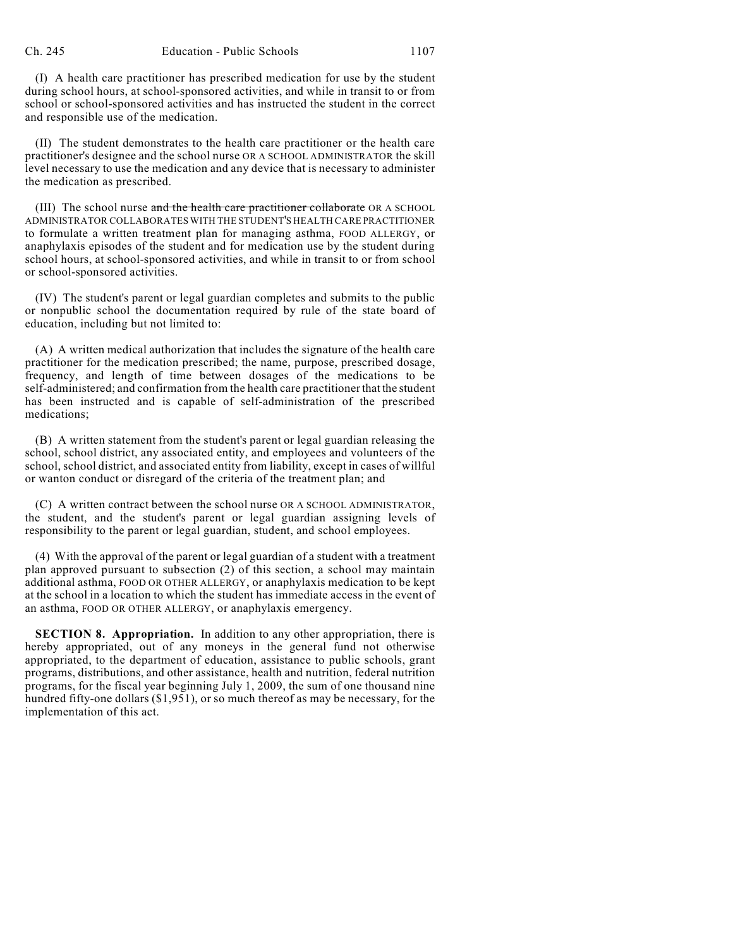(I) A health care practitioner has prescribed medication for use by the student during school hours, at school-sponsored activities, and while in transit to or from school or school-sponsored activities and has instructed the student in the correct and responsible use of the medication.

(II) The student demonstrates to the health care practitioner or the health care practitioner's designee and the school nurse OR A SCHOOL ADMINISTRATOR the skill level necessary to use the medication and any device that is necessary to administer the medication as prescribed.

(III) The school nurse and the health care practitioner collaborate OR A SCHOOL ADMINISTRATOR COLLABORATES WITH THE STUDENT'S HEALTH CARE PRACTITIONER to formulate a written treatment plan for managing asthma, FOOD ALLERGY, or anaphylaxis episodes of the student and for medication use by the student during school hours, at school-sponsored activities, and while in transit to or from school or school-sponsored activities.

(IV) The student's parent or legal guardian completes and submits to the public or nonpublic school the documentation required by rule of the state board of education, including but not limited to:

(A) A written medical authorization that includes the signature of the health care practitioner for the medication prescribed; the name, purpose, prescribed dosage, frequency, and length of time between dosages of the medications to be self-administered; and confirmation from the health care practitioner that the student has been instructed and is capable of self-administration of the prescribed medications;

(B) A written statement from the student's parent or legal guardian releasing the school, school district, any associated entity, and employees and volunteers of the school, school district, and associated entity from liability, except in cases of willful or wanton conduct or disregard of the criteria of the treatment plan; and

(C) A written contract between the school nurse OR A SCHOOL ADMINISTRATOR, the student, and the student's parent or legal guardian assigning levels of responsibility to the parent or legal guardian, student, and school employees.

(4) With the approval of the parent or legal guardian of a student with a treatment plan approved pursuant to subsection (2) of this section, a school may maintain additional asthma, FOOD OR OTHER ALLERGY, or anaphylaxis medication to be kept at the school in a location to which the student has immediate access in the event of an asthma, FOOD OR OTHER ALLERGY, or anaphylaxis emergency.

**SECTION 8. Appropriation.** In addition to any other appropriation, there is hereby appropriated, out of any moneys in the general fund not otherwise appropriated, to the department of education, assistance to public schools, grant programs, distributions, and other assistance, health and nutrition, federal nutrition programs, for the fiscal year beginning July 1, 2009, the sum of one thousand nine hundred fifty-one dollars (\$1,951), or so much thereof as may be necessary, for the implementation of this act.